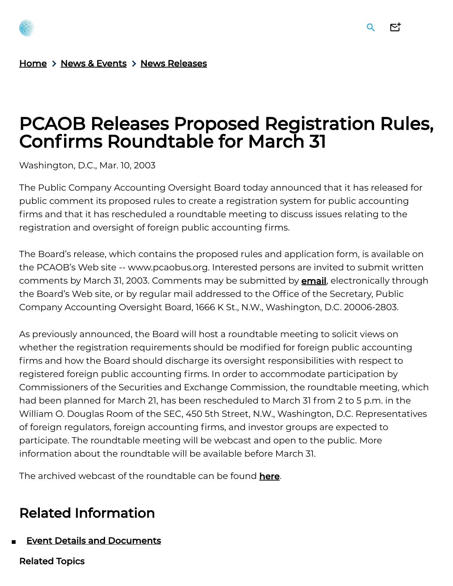

[Home](https://pcaobus.org/)  $\rightarrow$  News & [Events](https://pcaobus.org/news-events)  $\rightarrow$  News [Releases](https://pcaobus.org/news-events/news-releases)

## PCAOB Releases Proposed Registration Rules, Confirms Roundtable for March 31

Washington, D.C., Mar. 10, 2003

The Public Company Accounting Oversight Board today announced that it has released for public comment its proposed rules to create a registration system for public accounting firms and that it has rescheduled a roundtable meeting to discuss issues relating to the registration and oversight of foreign public accounting firms.

The Board's release, which contains the proposed rules and application form, is available on the PCAOB's Web site -- www.pcaobus.org. Interested persons are invited to submit written comments by March 31, 2003. Comments may be submitted by **[email](mailto:comments@pcaobus.org)**, electronically through the Board's Web site, or by regular mail addressed to the Office of the Secretary, Public Company Accounting Oversight Board, 1666 K St., N.W., Washington, D.C. 20006-2803.

As previously announced, the Board will host a roundtable meeting to solicit views on whether the registration requirements should be modified for foreign public accounting firms and how the Board should discharge its oversight responsibilities with respect to registered foreign public accounting firms. In order to accommodate participation by Commissioners of the Securities and Exchange Commission, the roundtable meeting, which had been planned for March 21, has been rescheduled to March 31 from 2 to 5 p.m. in the William O. Douglas Room of the SEC, 450 5th Street, N.W., Washington, D.C. Representatives of foreign regulators, foreign accounting firms, and investor groups are expected to participate. The roundtable meeting will be webcast and open to the public. More information about the roundtable will be available before March 31.

The archived webcast of the roundtable can be found [here](https://pcaobus.org/News/Webcasts/Pages/03312003_Roundtable.aspx).

## Related Information

Event Details and [Documents](https://pcaobus.org/news-events/events/event-details/pcaob-roundtable-on-foreign-auditor-registration_386)

Related Topics

Γ.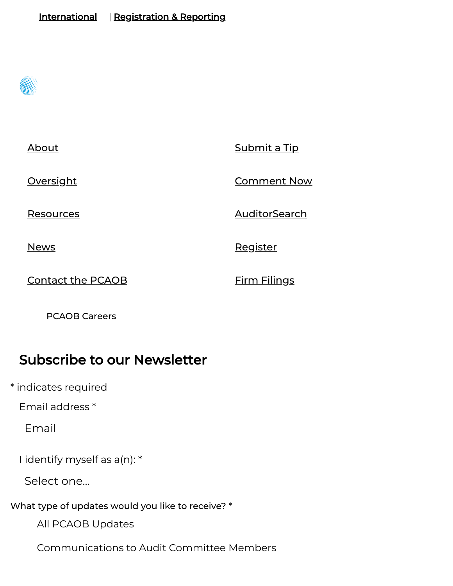| About                    | <b>Submit a Tip</b> |
|--------------------------|---------------------|
| <b>Oversight</b>         | <b>Comment Now</b>  |
| <u>Resources</u>         | AuditorSearch       |
| <b>News</b>              | <b>Register</b>     |
| <b>Contact the PCAOB</b> | <u>Firm Filings</u> |

PCAOB [Careers](https://pcaobus.org/careers)

## Subscribe to our Newsletter

\* indicates required

Email address \*

Email

I identify myself as a(n): \*

Select one...

What type of updates would you like to receive? \*

All PCAOB Updates

Communications to Audit Committee Members